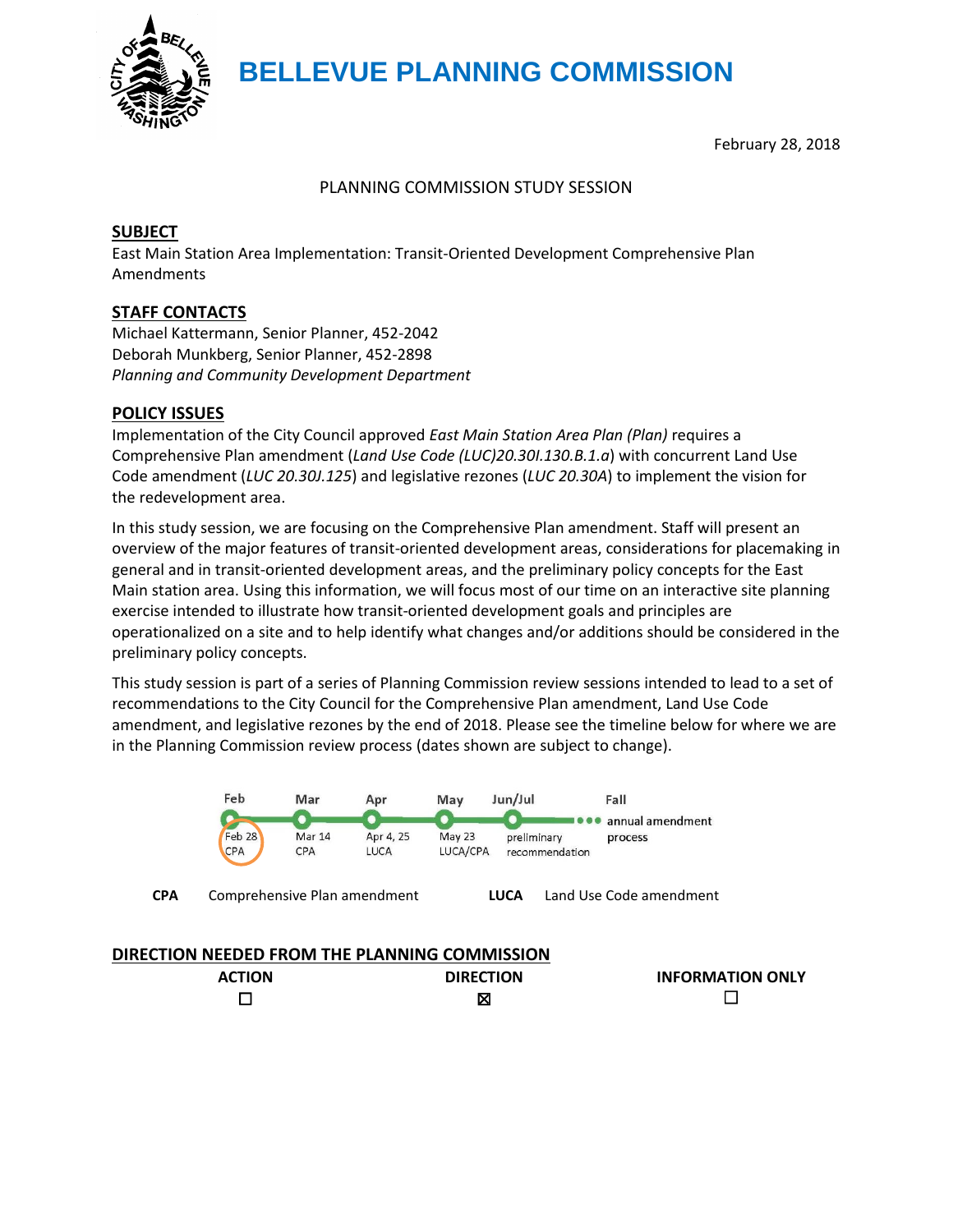

# **BELLEVUE PLANNING COMMISSION**

February 28, 2018

#### PLANNING COMMISSION STUDY SESSION

#### **SUBJECT**

East Main Station Area Implementation: Transit-Oriented Development Comprehensive Plan Amendments

# **STAFF CONTACTS**

Michael Kattermann, Senior Planner, 452-2042 Deborah Munkberg, Senior Planner, 452-2898 *Planning and Community Development Department*

#### **POLICY ISSUES**

Implementation of the City Council approved *East Main Station Area Plan (Plan)* requires a Comprehensive Plan amendment (*Land Use Code (LUC)20.30I.130.B.1.a*) with concurrent Land Use Code amendment (*LUC 20.30J.125*) and legislative rezones (*LUC 20.30A*) to implement the vision for the redevelopment area.

In this study session, we are focusing on the Comprehensive Plan amendment. Staff will present an overview of the major features of transit-oriented development areas, considerations for placemaking in general and in transit-oriented development areas, and the preliminary policy concepts for the East Main station area. Using this information, we will focus most of our time on an interactive site planning exercise intended to illustrate how transit-oriented development goals and principles are operationalized on a site and to help identify what changes and/or additions should be considered in the preliminary policy concepts.

This study session is part of a series of Planning Commission review sessions intended to lead to a set of recommendations to the City Council for the Comprehensive Plan amendment, Land Use Code amendment, and legislative rezones by the end of 2018. Please see the timeline below for where we are in the Planning Commission review process (dates shown are subject to change).



| <b>ACTION</b> | <b>DIRECTION</b> | <b>INFORMATION ONLY</b> |
|---------------|------------------|-------------------------|
|               | X                |                         |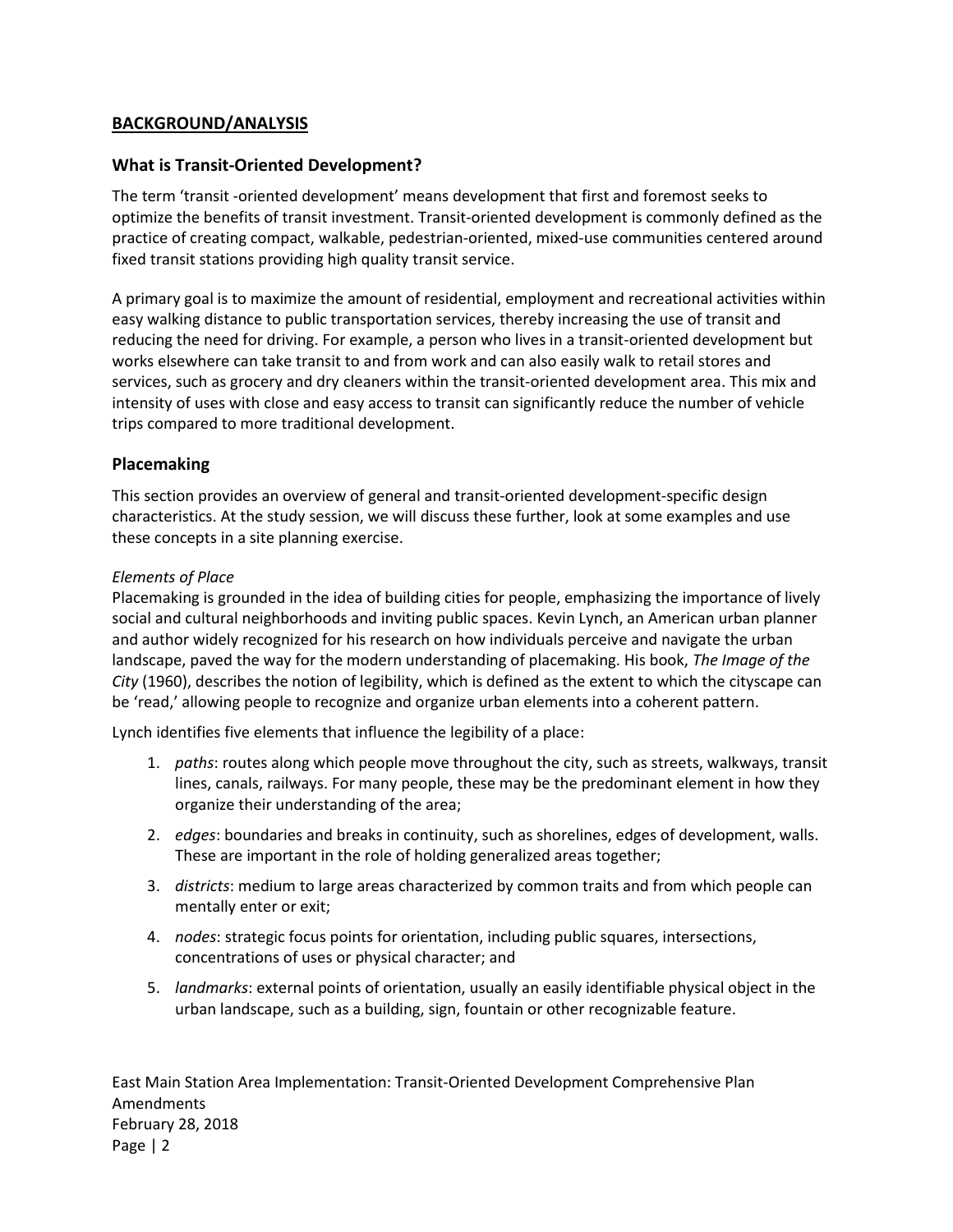# **BACKGROUND/ANALYSIS**

# **What is Transit-Oriented Development?**

The term 'transit -oriented development' means development that first and foremost seeks to optimize the benefits of transit investment. Transit-oriented development is commonly defined as the practice of creating compact, walkable, pedestrian-oriented, mixed-use communities centered around fixed transit stations providing high quality transit service.

A primary goal is to maximize the amount of residential, employment and recreational activities within easy walking distance to public transportation services, thereby increasing the use of transit and reducing the need for driving. For example, a person who lives in a transit-oriented development but works elsewhere can take transit to and from work and can also easily walk to retail stores and services, such as grocery and dry cleaners within the transit-oriented development area. This mix and intensity of uses with close and easy access to transit can significantly reduce the number of vehicle trips compared to more traditional development.

# **Placemaking**

This section provides an overview of general and transit-oriented development-specific design characteristics. At the study session, we will discuss these further, look at some examples and use these concepts in a site planning exercise.

#### *Elements of Place*

Placemaking is grounded in the idea of building cities for people, emphasizing the importance of lively social and cultural neighborhoods and inviting public spaces. Kevin Lynch, an American urban planner and author widely recognized for his research on how individuals perceive and navigate the urban landscape, paved the way for the modern understanding of placemaking. His book, *The Image of the City* (1960), describes the notion of legibility, which is defined as the extent to which the cityscape can be 'read,' allowing people to recognize and organize urban elements into a coherent pattern.

Lynch identifies five elements that influence the legibility of a place:

- 1. *paths*: routes along which people move throughout the city, such as streets, walkways, transit lines, canals, railways. For many people, these may be the predominant element in how they organize their understanding of the area;
- 2. *edges*: boundaries and breaks in continuity, such as shorelines, edges of development, walls. These are important in the role of holding generalized areas together;
- 3. *districts*: medium to large areas characterized by common traits and from which people can mentally enter or exit;
- 4. *nodes*: strategic focus points for orientation, including public squares, intersections, concentrations of uses or physical character; and
- 5. *landmarks*: external points of orientation, usually an easily identifiable physical object in the urban landscape, such as a building, sign, fountain or other recognizable feature.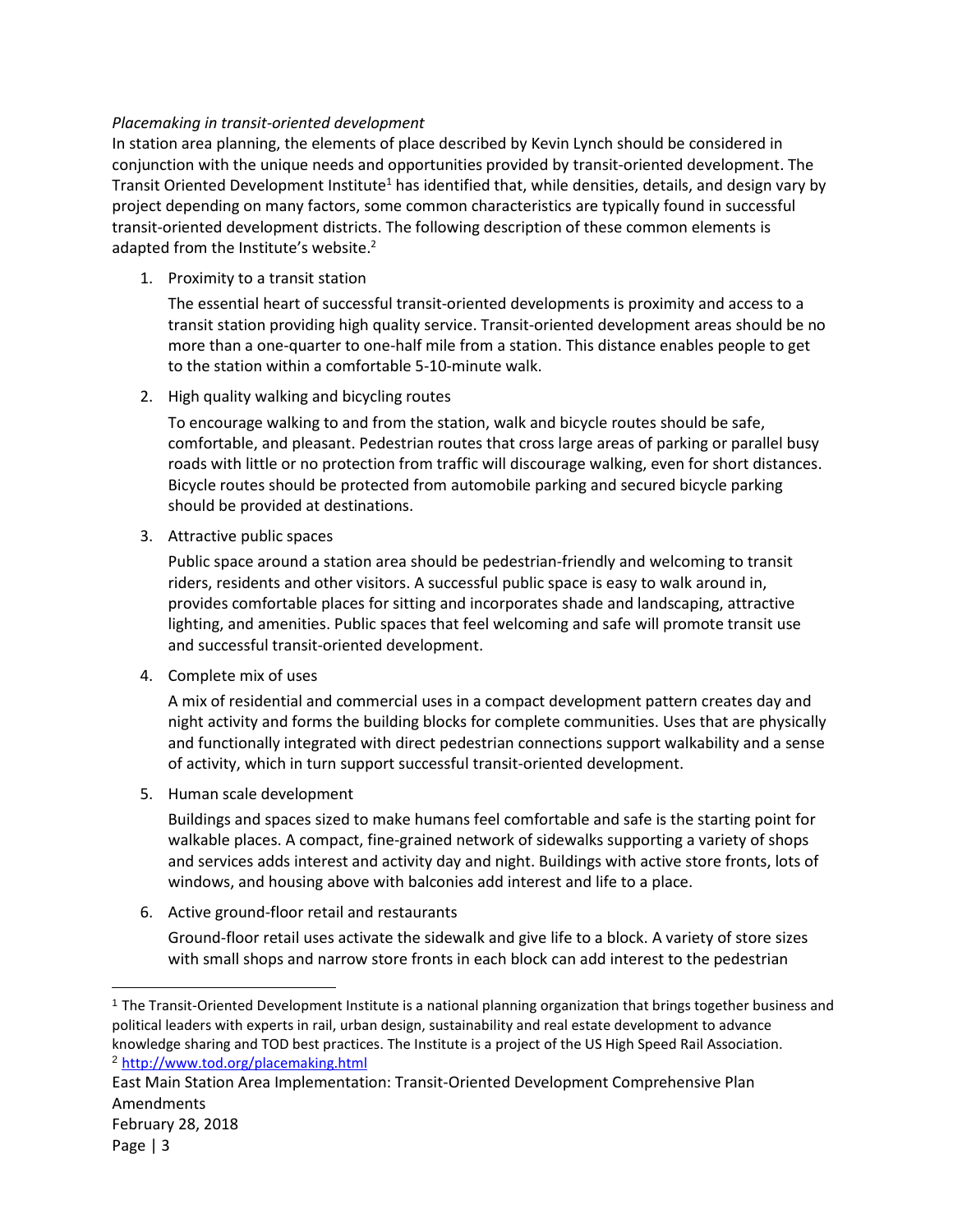#### *Placemaking in transit-oriented development*

In station area planning, the elements of place described by Kevin Lynch should be considered in conjunction with the unique needs and opportunities provided by transit-oriented development. The Transit Oriented Development Institute<sup>1</sup> has identified that, while densities, details, and design vary by project depending on many factors, some common characteristics are typically found in successful transit-oriented development districts. The following description of these common elements is adapted from the Institute's website.<sup>2</sup>

1. Proximity to a transit station

The essential heart of successful transit-oriented developments is proximity and access to a transit station providing high quality service. Transit-oriented development areas should be no more than a one-quarter to one-half mile from a station. This distance enables people to get to the station within a comfortable 5-10-minute walk.

2. High quality walking and bicycling routes

To encourage walking to and from the station, walk and bicycle routes should be safe, comfortable, and pleasant. Pedestrian routes that cross large areas of parking or parallel busy roads with little or no protection from traffic will discourage walking, even for short distances. Bicycle routes should be protected from automobile parking and secured bicycle parking should be provided at destinations.

3. Attractive public spaces

Public space around a station area should be pedestrian-friendly and welcoming to transit riders, residents and other visitors. A successful public space is easy to walk around in, provides comfortable places for sitting and incorporates shade and landscaping, attractive lighting, and amenities. Public spaces that feel welcoming and safe will promote transit use and successful transit-oriented development.

4. Complete mix of uses

A mix of residential and commercial uses in a compact development pattern creates day and night activity and forms the building blocks for complete communities. Uses that are physically and functionally integrated with direct pedestrian connections support walkability and a sense of activity, which in turn support successful transit-oriented development.

5. Human scale development

Buildings and spaces sized to make humans feel comfortable and safe is the starting point for walkable places. A compact, fine-grained network of sidewalks supporting a variety of shops and services adds interest and activity day and night. Buildings with active store fronts, lots of windows, and housing above with balconies add interest and life to a place.

6. Active ground-floor retail and restaurants

Ground-floor retail uses activate the sidewalk and give life to a block. A variety of store sizes with small shops and narrow store fronts in each block can add interest to the pedestrian

 $\overline{a}$ 

<sup>1</sup> The Transit-Oriented Development Institute is a national planning organization that brings together business and political leaders with experts in rail, urban design, sustainability and real estate development to advance knowledge sharing and TOD best practices. The Institute is a project of the US High Speed Rail Association. <sup>2</sup> <http://www.tod.org/placemaking.html>

East Main Station Area Implementation: Transit-Oriented Development Comprehensive Plan Amendments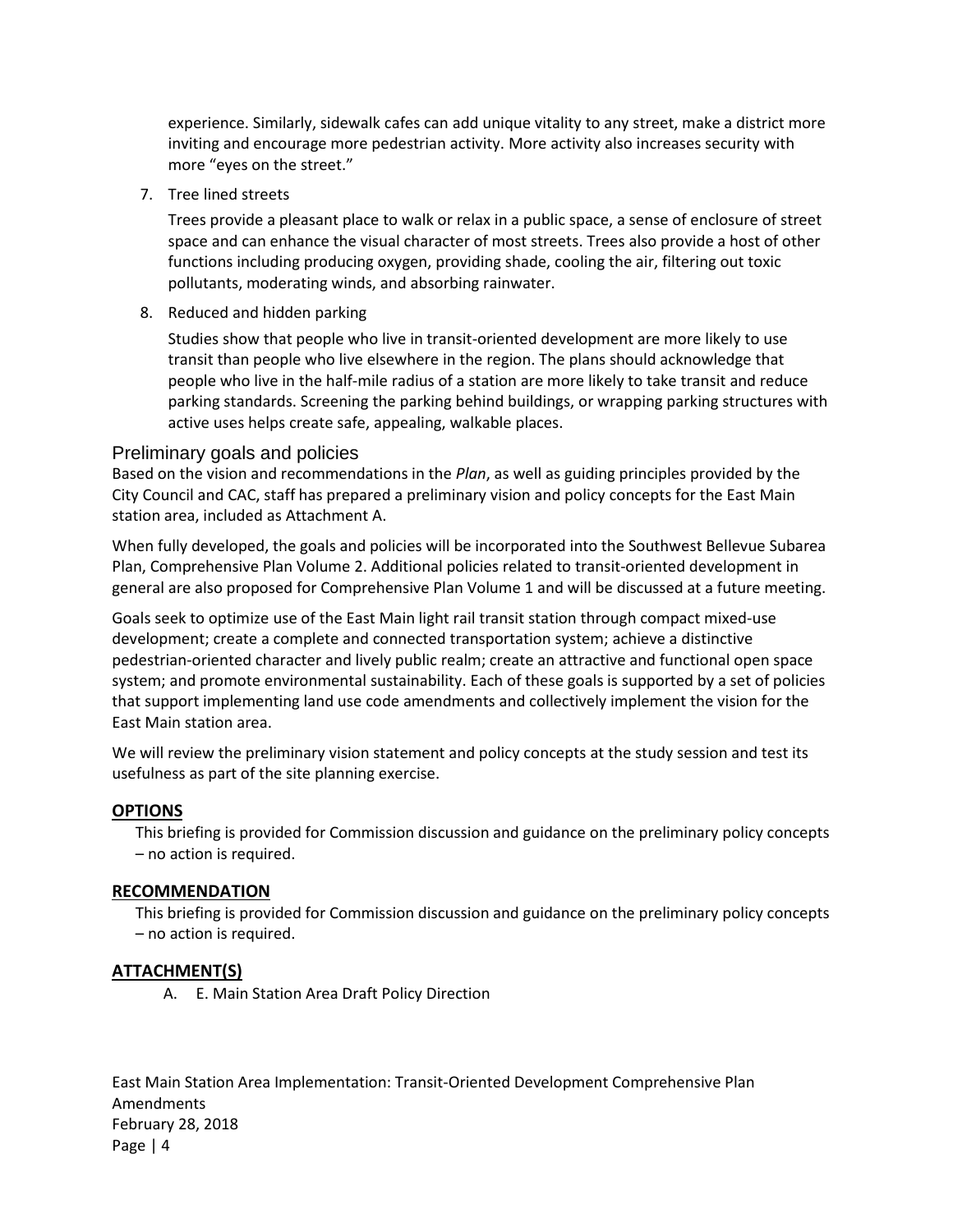experience. Similarly, sidewalk cafes can add unique vitality to any street, make a district more inviting and encourage more pedestrian activity. More activity also increases security with more "eyes on the street."

7. Tree lined streets

Trees provide a pleasant place to walk or relax in a public space, a sense of enclosure of street space and can enhance the visual character of most streets. Trees also provide a host of other functions including producing oxygen, providing shade, cooling the air, filtering out toxic pollutants, moderating winds, and absorbing rainwater.

8. Reduced and hidden parking

Studies show that people who live in transit-oriented development are more likely to use transit than people who live elsewhere in the region. The plans should acknowledge that people who live in the half-mile radius of a station are more likely to take transit and reduce parking standards. Screening the parking behind buildings, or wrapping parking structures with active uses helps create safe, appealing, walkable places.

# Preliminary goals and policies

Based on the vision and recommendations in the *Plan*, as well as guiding principles provided by the City Council and CAC, staff has prepared a preliminary vision and policy concepts for the East Main station area, included as Attachment A.

When fully developed, the goals and policies will be incorporated into the Southwest Bellevue Subarea Plan, Comprehensive Plan Volume 2. Additional policies related to transit-oriented development in general are also proposed for Comprehensive Plan Volume 1 and will be discussed at a future meeting.

Goals seek to optimize use of the East Main light rail transit station through compact mixed-use development; create a complete and connected transportation system; achieve a distinctive pedestrian-oriented character and lively public realm; create an attractive and functional open space system; and promote environmental sustainability. Each of these goals is supported by a set of policies that support implementing land use code amendments and collectively implement the vision for the East Main station area.

We will review the preliminary vision statement and policy concepts at the study session and test its usefulness as part of the site planning exercise.

# **OPTIONS**

This briefing is provided for Commission discussion and guidance on the preliminary policy concepts – no action is required.

#### **RECOMMENDATION**

This briefing is provided for Commission discussion and guidance on the preliminary policy concepts – no action is required.

# **ATTACHMENT(S)**

A. E. Main Station Area Draft Policy Direction

East Main Station Area Implementation: Transit-Oriented Development Comprehensive Plan Amendments February 28, 2018 Page | 4